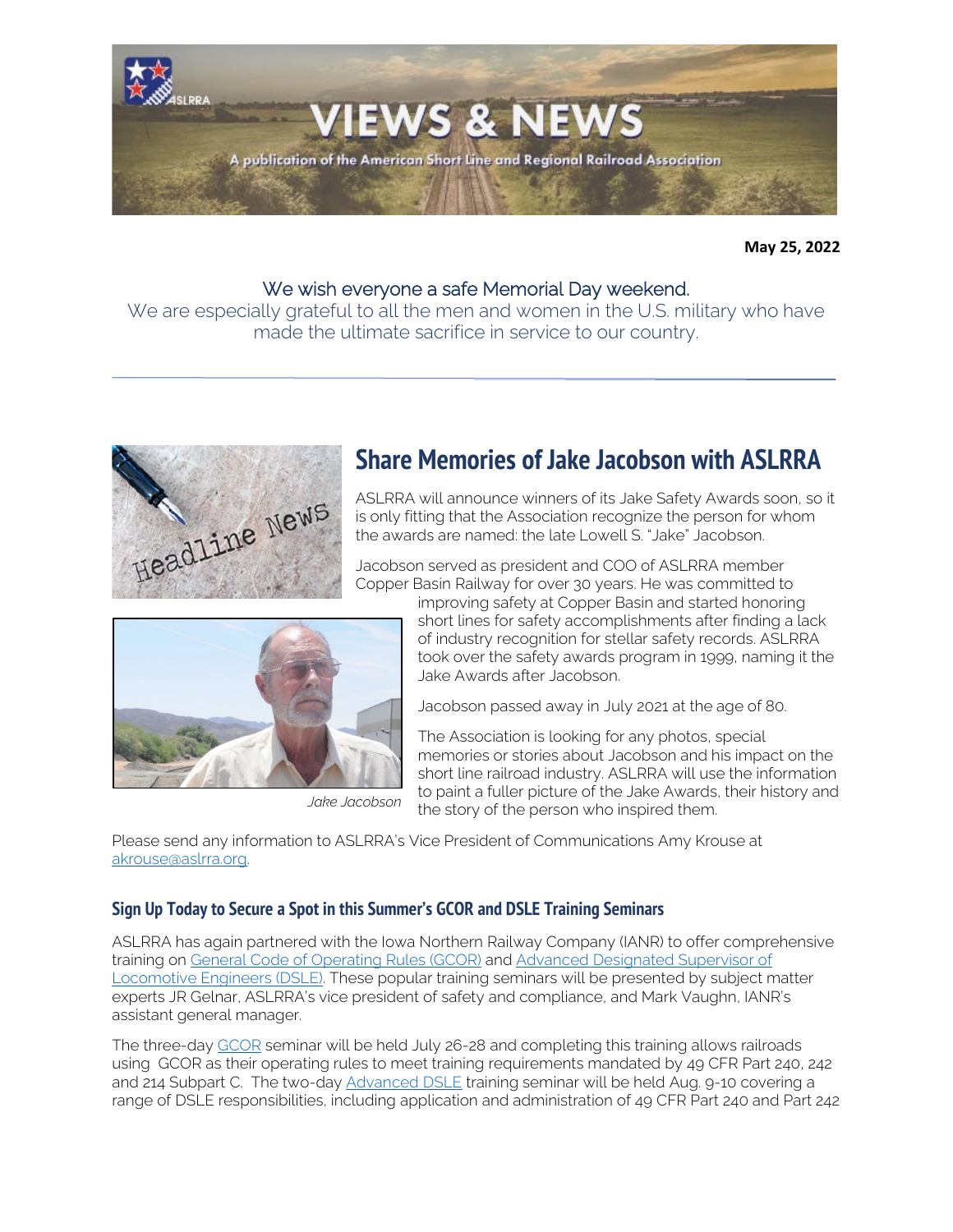

**May 25, 2022**

## We wish everyone a safe Memorial Day weekend.

We are especially grateful to all the men and women in the U.S. military who have made the ultimate sacrifice in service to our country.



# **Share Memories of Jake Jacobson with ASLRRA**

ASLRRA will announce winners of its Jake Safety Awards soon, so it is only fitting that the Association recognize the person for whom the awards are named: the late Lowell S. "Jake" Jacobson.

Jacobson served as president and COO of ASLRRA member Copper Basin Railway for over 30 years. He was committed to



The Association is looking for any photos, special

memories or stories about Jacobson and his impact on the short line railroad industry. ASLRRA will use the information to paint a fuller picture of the Jake Awards, their history and the story of the person who inspired them.

Please send any information to ASLRRA's Vice President of Communications Amy Krouse at [akrouse@aslrra.org.](mailto:akrouse@aslrra.org?subject=Jake%20Jacobson%20Story) 

## **Sign Up Today to Secure a Spot in this Summer's GCOR and DSLE Training Seminars**

ASLRRA has again partnered with the Iowa Northern Railway Company (IANR) to offer comprehensive training on General Code [of Operating Rules \(GCOR\)](https://www.aslrra.org/education/training-seminars/comprehensive-general-code-of-operating-rules-gcor-training-seminar/) and [Advanced Designated Supervisor of](https://www.aslrra.org/education/training-seminars/advanced-designated-supervisor-of-locomotive-engineers-dsle-training-seminar/)  [Locomotive Engineers \(DSLE\).](https://www.aslrra.org/education/training-seminars/advanced-designated-supervisor-of-locomotive-engineers-dsle-training-seminar/) These popular training seminars will be presented by subject matter experts JR Gelnar, ASLRRA's vice president of safety and compliance, and Mark Vaughn, IANR's assistant general manager.

The three-day [GCOR](https://www.aslrra.org/education/training-seminars/comprehensive-general-code-of-operating-rules-gcor-training-seminar/) seminar will be held July 26-28 and completing this training allows railroads using GCOR as their operating rules to meet training requirements mandated by 49 CFR Part 240, 242 and 214 Subpart C. The two-day [Advanced DSLE](https://www.aslrra.org/education/training-seminars/advanced-designated-supervisor-of-locomotive-engineers-dsle-training-seminar/) training seminar will be held Aug. 9-10 covering a range of DSLE responsibilities, including application and administration of 49 CFR Part 240 and Part 242



*Jake Jacobson*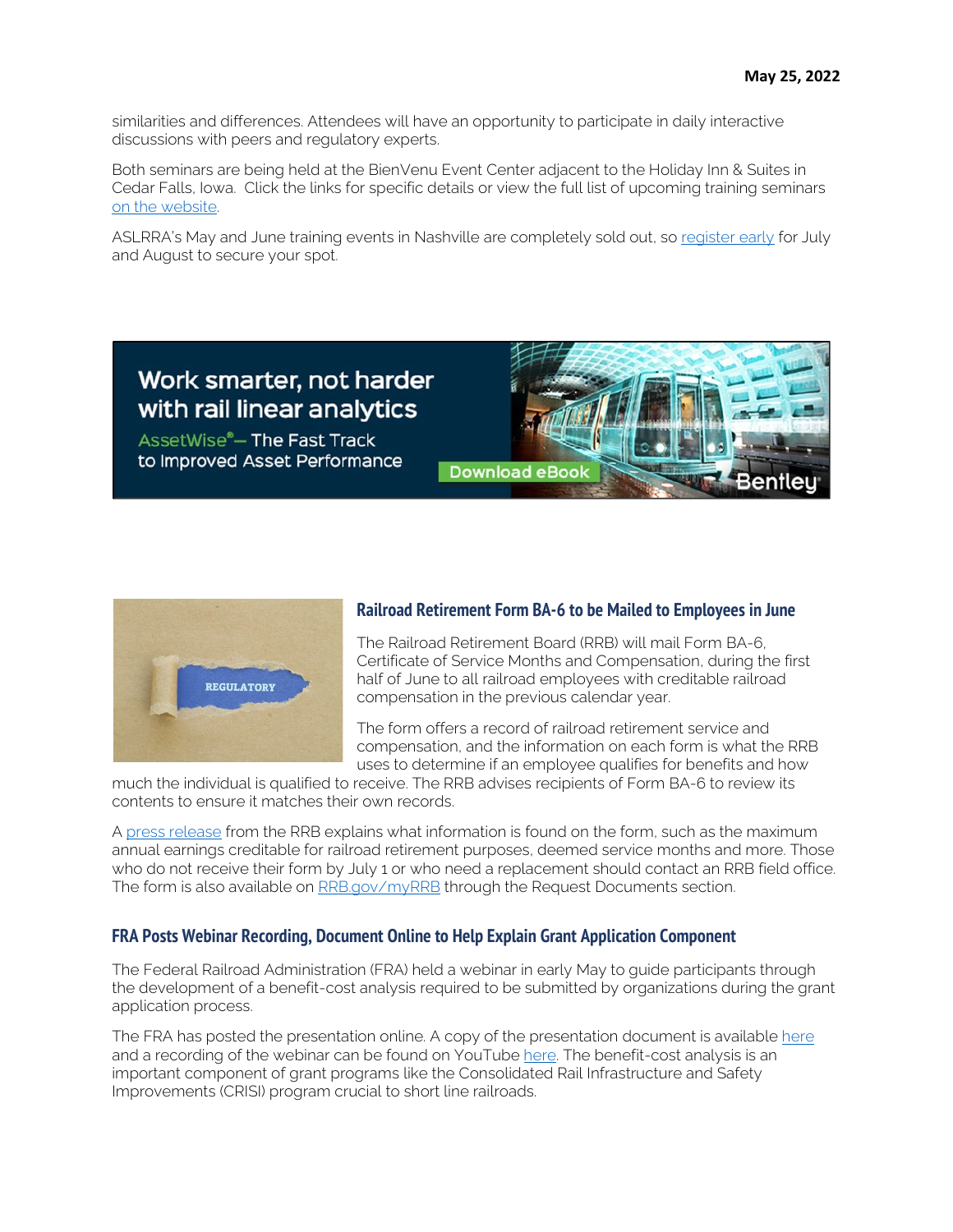similarities and differences. Attendees will have an opportunity to participate in daily interactive discussions with peers and regulatory experts.

Both seminars are being held at the BienVenu Event Center adjacent to the Holiday Inn & Suites in Cedar Falls, Iowa. Click the links for specific details or view the full list of upcoming training seminars [on the website.](https://www.aslrra.org/education/training-seminars/) 

ASLRRA's May and June training events in Nashville are completely sold out, so [register early](https://www.aslrra.org/education/training-seminars/) for July and August to secure your spot.





## **Railroad Retirement Form BA-6 to be Mailed to Employees in June**

The Railroad Retirement Board (RRB) will mail Form BA-6, Certificate of Service Months and Compensation, during the first half of June to all railroad employees with creditable railroad compensation in the previous calendar year.

The form offers a record of railroad retirement service and compensation, and the information on each form is what the RRB uses to determine if an employee qualifies for benefits and how

much the individual is qualified to receive. The RRB advises recipients of Form BA-6 to review its contents to ensure it matches their own records.

A [press release](https://www.rrb.gov/Newsroom/NewsReleases/StatementsofService) from the RRB explains what information is found on the form, such as the maximum annual earnings creditable for railroad retirement purposes, deemed service months and more. Those who do not receive their form by July 1 or who need a replacement should contact an RRB field office. The form is also available on [RRB.gov/myRRB](https://www.rrb.gov/Benefits/myRRB) through the Request Documents section.

## **FRA Posts Webinar Recording, Document Online to Help Explain Grant Application Component**

The Federal Railroad Administration (FRA) held a webinar in early May to guide participants through the development of a benefit-cost analysis required to be submitted by organizations during the grant application process.

The FRA has posted the presentation online. A copy of the presentation document is availabl[e here](https://railroads.dot.gov/elibrary/preparing-benefit-cost-analysis-webinar) and a recording of the webinar can be found on YouTube [here.](https://www.youtube.com/watch?v=HTAyvUgYTNg) The benefit-cost analysis is an important component of grant programs like the Consolidated Rail Infrastructure and Safety Improvements (CRISI) program crucial to short line railroads.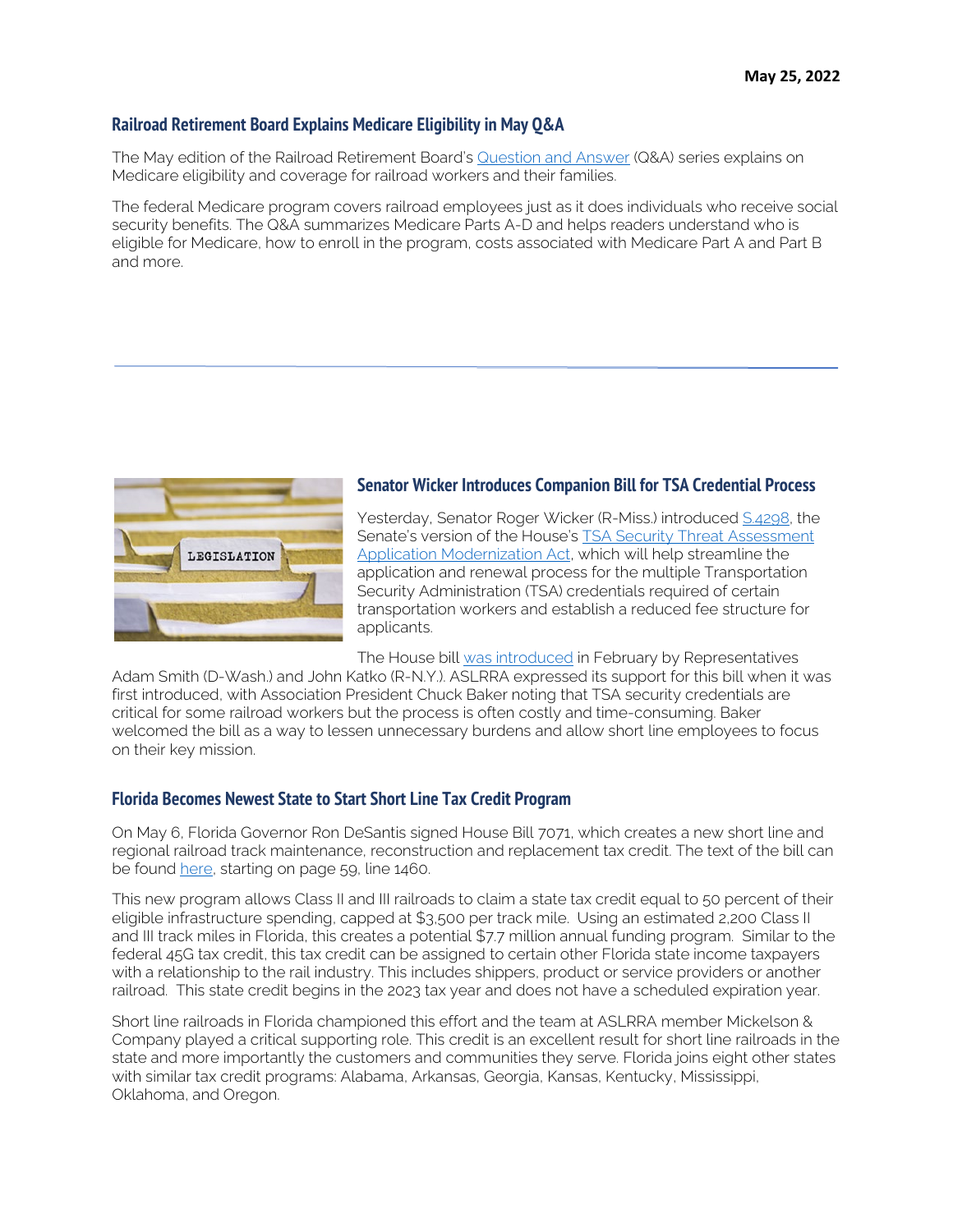#### **Railroad Retirement Board Explains Medicare Eligibility in May Q&A**

The May edition of the Railroad Retirement Board's [Question and Answer](https://www.rrb.gov/NewsRoom/NewsReleases/Medicare) (Q&A) series explains on Medicare eligibility and coverage for railroad workers and their families.

The federal Medicare program covers railroad employees just as it does individuals who receive social security benefits. The Q&A summarizes Medicare Parts A-D and helps readers understand who is eligible for Medicare, how to enroll in the program, costs associated with Medicare Part A and Part B and more.



#### **Senator Wicker Introduces Companion Bill for TSA Credential Process**

Yesterday, Senator Roger Wicker (R-Miss.) introduced [S.4298,](https://www.congress.gov/bill/117th-congress/senate-bill/4298/text?r=1&s=1) the Senate's version of the House's TSA Security Threat Assessment [Application Modernization Act,](https://www.congress.gov/bill/117th-congress/house-bill/6571?q=%7B%22search%22%3A%5B%22Licensing%22%2C%22and%22%2C%22registrations%22%5D%7D&s=1&r=98) which will help streamline the application and renewal process for the multiple Transportation Security Administration (TSA) credentials required of certain transportation workers and establish a reduced fee structure for applicants.

The House bill [was introduced](https://adamsmith.house.gov/press-releases?ID=8BBF851C-591C-4F9F-AF9F-3FCD6C1852C4) in February by Representatives

Adam Smith (D-Wash.) and John Katko (R-N.Y.). ASLRRA expressed its support for this bill when it was first introduced, with Association President Chuck Baker noting that TSA security credentials are critical for some railroad workers but the process is often costly and time-consuming. Baker welcomed the bill as a way to lessen unnecessary burdens and allow short line employees to focus on their key mission.

#### **Florida Becomes Newest State to Start Short Line Tax Credit Program**

On May 6, Florida Governor Ron DeSantis signed House Bill 7071, which creates a new short line and regional railroad track maintenance, reconstruction and replacement tax credit. The text of the bill can be found [here,](https://www.flsenate.gov/Session/Bill/2022/7071/BillText/er/PDF) starting on page 59, line 1460.

This new program allows Class II and III railroads to claim a state tax credit equal to 50 percent of their eligible infrastructure spending, capped at \$3,500 per track mile. Using an estimated 2,200 Class II and III track miles in Florida, this creates a potential \$7.7 million annual funding program. Similar to the federal 45G tax credit, this tax credit can be assigned to certain other Florida state income taxpayers with a relationship to the rail industry. This includes shippers, product or service providers or another railroad. This state credit begins in the 2023 tax year and does not have a scheduled expiration year.

Short line railroads in Florida championed this effort and the team at ASLRRA member Mickelson & Company played a critical supporting role. This credit is an excellent result for short line railroads in the state and more importantly the customers and communities they serve. Florida joins eight other states with similar tax credit programs: Alabama, Arkansas, Georgia, Kansas, Kentucky, Mississippi, Oklahoma, and Oregon.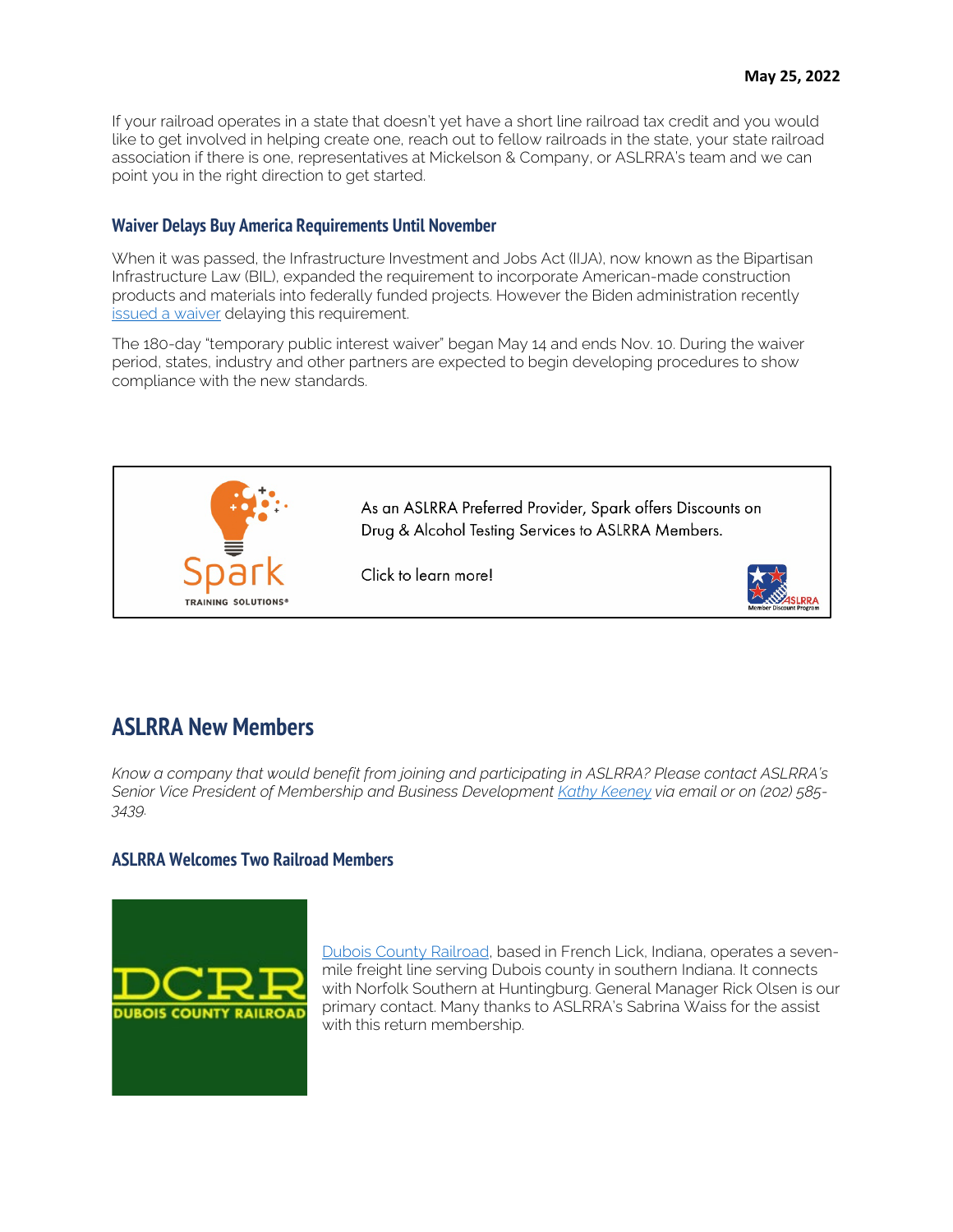If your railroad operates in a state that doesn't yet have a short line railroad tax credit and you would like to get involved in helping create one, reach out to fellow railroads in the state, your state railroad association if there is one, representatives at Mickelson & Company, or ASLRRA's team and we can point you in the right direction to get started.

### **Waiver Delays Buy America Requirements Until November**

When it was passed, the Infrastructure Investment and Jobs Act (IIJA), now known as the Bipartisan Infrastructure Law (BIL), expanded the requirement to incorporate American-made construction products and materials into federally funded projects. However the Biden administration recently [issued a waiver](https://public-inspection.federalregister.gov/2022-11195.pdf) delaying this requirement.

The 180-day "temporary public interest waiver" began May 14 and ends Nov. 10. During the waiver period, states, industry and other partners are expected to begin developing procedures to show compliance with the new standards.



# **ASLRRA New Members**

*Know a company that would benefit from joining and participating in ASLRRA? Please contact ASLRRA's Senior Vice President of Membership and Business Developmen[t Kathy Keeney](mailto:kkeeney@aslrra.org?subject=Membership) via email or on (202) 585- 3439.*

## **ASLRRA Welcomes Two Railroad Members**



[Dubois County Railroad,](http://www.duboiscountyrr.com/) based in French Lick, Indiana, operates a sevenmile freight line serving Dubois county in southern Indiana. It connects with Norfolk Southern at Huntingburg. General Manager Rick Olsen is our primary contact. Many thanks to ASLRRA's Sabrina Waiss for the assist with this return membership.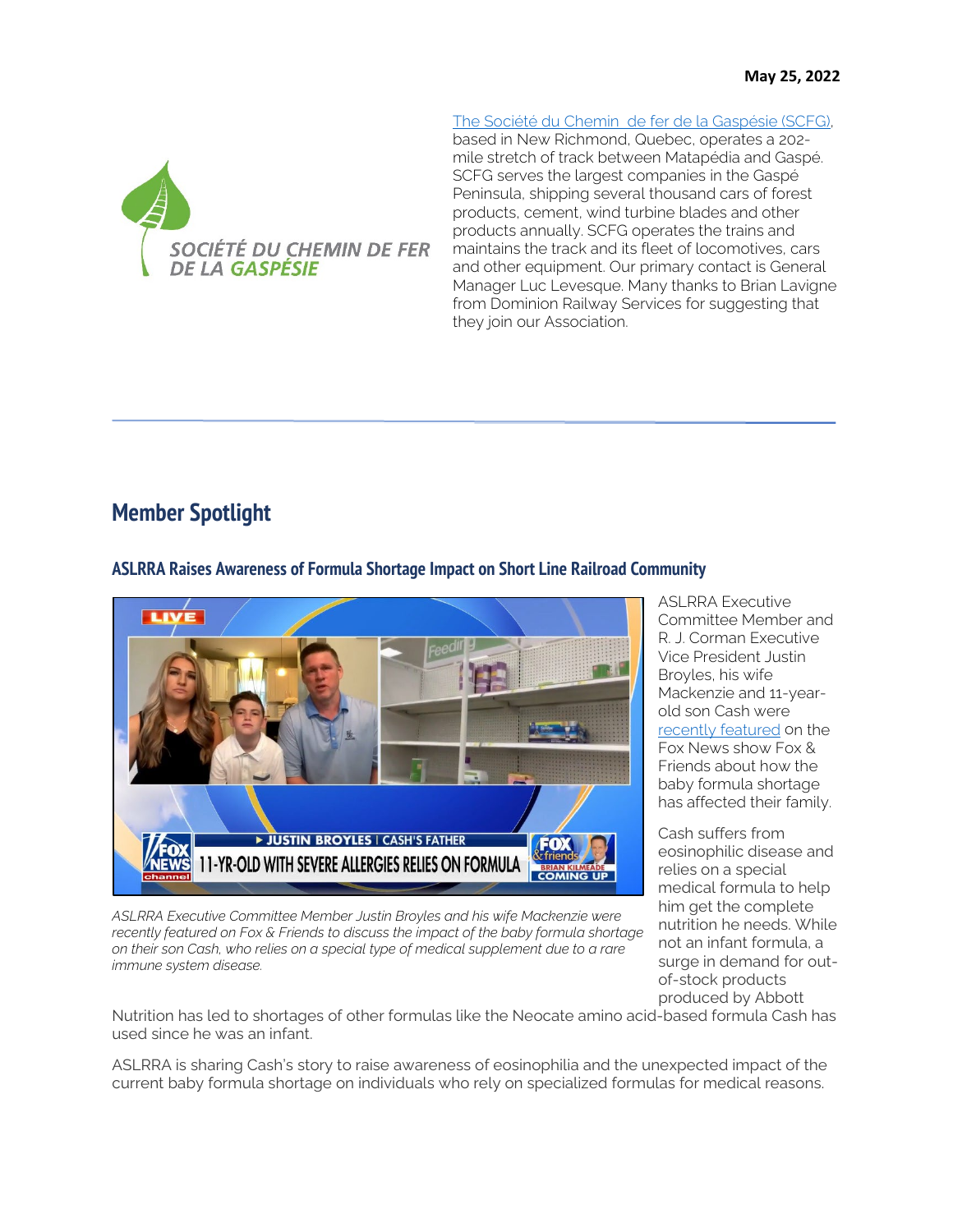

[The Société du Chemin de fer de la Gaspésie \(SCFG\),](https://scfgaspesie.com/)

based in New Richmond, Quebec, operates a 202 mile stretch of track between Matapédia and Gaspé. SCFG serves the largest companies in the Gaspé Peninsula, shipping several thousand cars of forest products, cement, wind turbine blades and other products annually. SCFG operates the trains and maintains the track and its fleet of locomotives, cars and other equipment. Our primary contact is General Manager Luc Levesque. Many thanks to Brian Lavigne from Dominion Railway Services for suggesting that they join our Association.

# **Member Spotlight**

**ASLRRA Raises Awareness of Formula Shortage Impact on Short Line Railroad Community**



*ASLRRA Executive Committee Member Justin Broyles and his wife Mackenzie were recently featured on Fox & Friends to discuss the impact of the baby formula shortage on their son Cash, who relies on a special type of medical supplement due to a rare immune system disease.*

ASLRRA Executive Committee Member and R. J. Corman Executive Vice President Justin Broyles, his wife Mackenzie and 11-yearold son Cash were [recently featured](https://video.foxnews.com/v/6306579162112#sp=show-clips) on the Fox News show Fox & Friends about how the baby formula shortage has affected their family.

Cash suffers from eosinophilic disease and relies on a special medical formula to help him get the complete nutrition he needs. While not an infant formula, a surge in demand for outof-stock products produced by Abbott

Nutrition has led to shortages of other formulas like the Neocate amino acid-based formula Cash has used since he was an infant.

ASLRRA is sharing Cash's story to raise awareness of eosinophilia and the unexpected impact of the current baby formula shortage on individuals who rely on specialized formulas for medical reasons.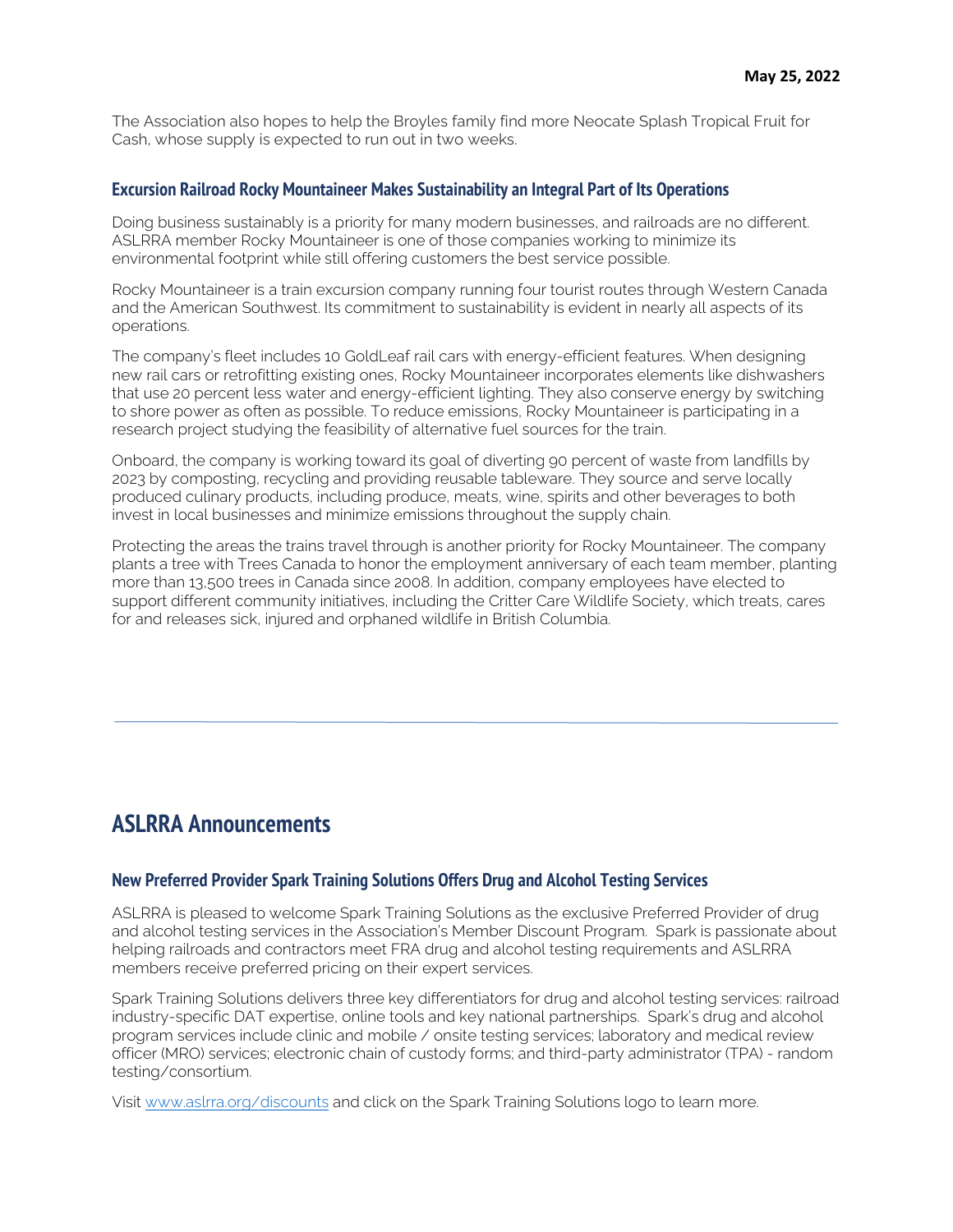The Association also hopes to help the Broyles family find more Neocate Splash Tropical Fruit for Cash, whose supply is expected to run out in two weeks.

#### **Excursion Railroad Rocky Mountaineer Makes Sustainability an Integral Part of Its Operations**

Doing business sustainably is a priority for many modern businesses, and railroads are no different. ASLRRA member Rocky Mountaineer is one of those companies working to minimize its environmental footprint while still offering customers the best service possible.

Rocky Mountaineer is a train excursion company running four tourist routes through Western Canada and the American Southwest. Its commitment to sustainability is evident in nearly all aspects of its operations.

The company's fleet includes 10 GoldLeaf rail cars with energy-efficient features. When designing new rail cars or retrofitting existing ones, Rocky Mountaineer incorporates elements like dishwashers that use 20 percent less water and energy-efficient lighting. They also conserve energy by switching to shore power as often as possible. To reduce emissions, Rocky Mountaineer is participating in a research project studying the feasibility of alternative fuel sources for the train.

Onboard, the company is working toward its goal of diverting 90 percent of waste from landfills by 2023 by composting, recycling and providing reusable tableware. They source and serve locally produced culinary products, including produce, meats, wine, spirits and other beverages to both invest in local businesses and minimize emissions throughout the supply chain.

Protecting the areas the trains travel through is another priority for Rocky Mountaineer. The company plants a tree with Trees Canada to honor the employment anniversary of each team member, planting more than 13,500 trees in Canada since 2008. In addition, company employees have elected to support different community initiatives, including the Critter Care Wildlife Society, which treats, cares for and releases sick, injured and orphaned wildlife in British Columbia.

## **ASLRRA Announcements**

#### **New Preferred Provider Spark Training Solutions Offers Drug and Alcohol Testing Services**

ASLRRA is pleased to welcome Spark Training Solutions as the exclusive Preferred Provider of drug and alcohol testing services in the Association's Member Discount Program. Spark is passionate about helping railroads and contractors meet FRA drug and alcohol testing requirements and ASLRRA members receive preferred pricing on their expert services.

Spark Training Solutions delivers three key differentiators for drug and alcohol testing services: railroad industry-specific DAT expertise, online tools and key national partnerships. Spark's drug and alcohol program services include clinic and mobile / onsite testing services; laboratory and medical review officer (MRO) services; electronic chain of custody forms; and third-party administrator (TPA) - random testing/consortium.

Visit [www.aslrra.org/discounts](http://www.aslrra.org/discounts) and click on the Spark Training Solutions logo to learn more.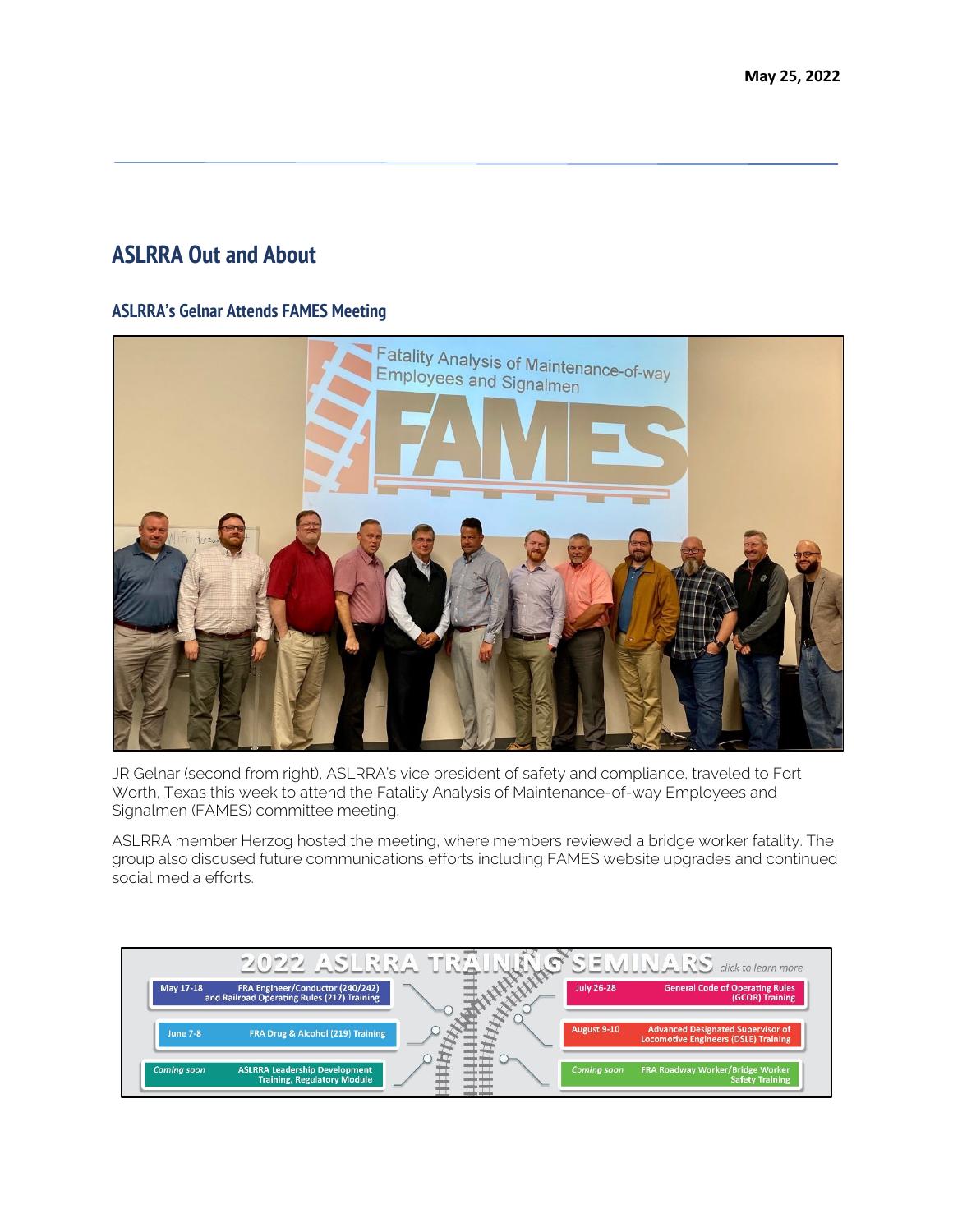# **ASLRRA Out and About**

### **ASLRRA's Gelnar Attends FAMES Meeting**



JR Gelnar (second from right), ASLRRA's vice president of safety and compliance, traveled to Fort Worth, Texas this week to attend the Fatality Analysis of Maintenance-of-way Employees and Signalmen (FAMES) committee meeting.

ASLRRA member Herzog hosted the meeting, where members reviewed a bridge worker fatality. The group also discused future communications efforts including FAMES website upgrades and continued social media efforts.

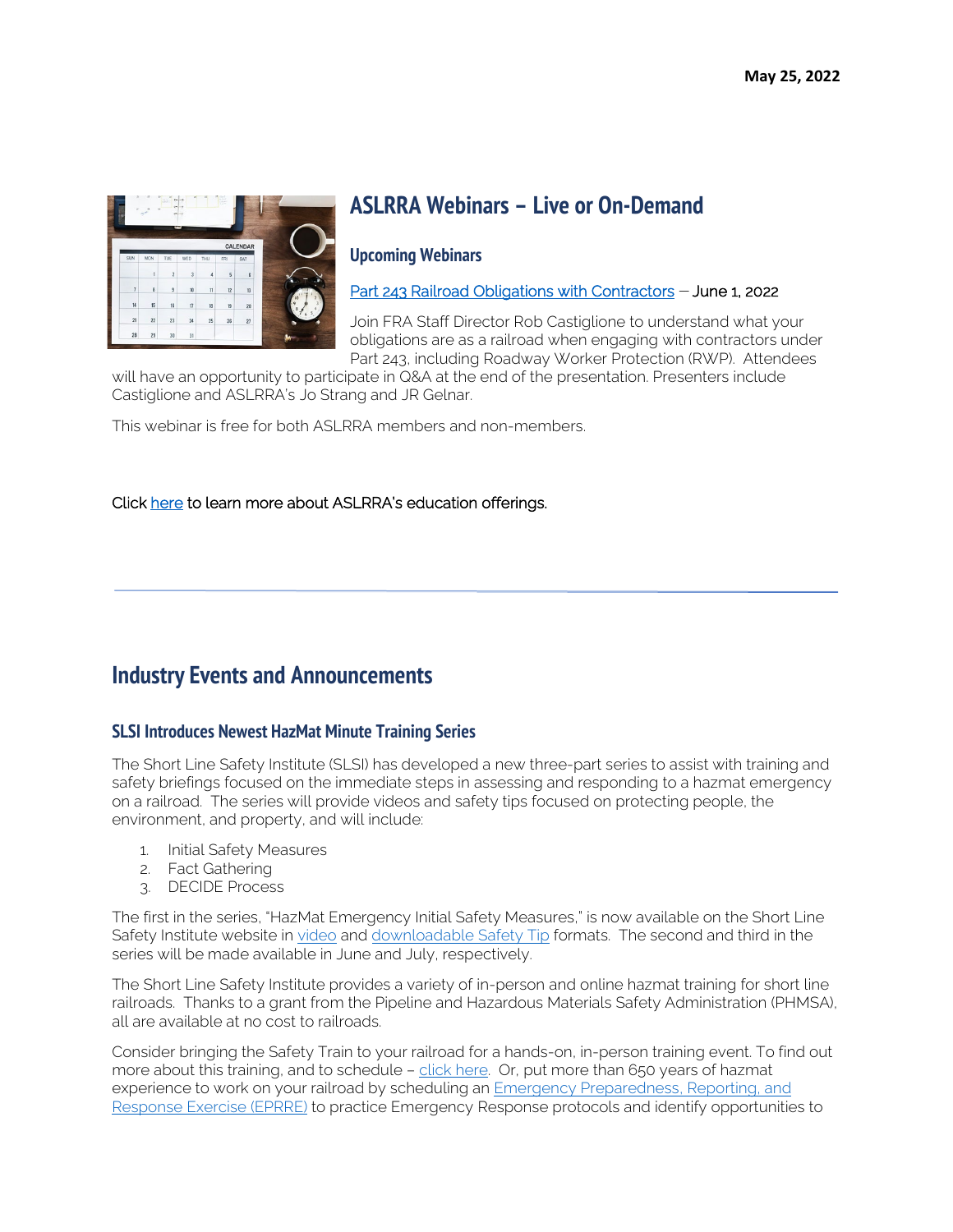

# **ASLRRA Webinars – Live or On-Demand**

#### **Upcoming Webinars**

[Part 243 Railroad Obligations with Contractors](https://attendee.gotowebinar.com/register/7543309894628819979) - June 1, 2022

Join FRA Staff Director Rob Castiglione to understand what your obligations are as a railroad when engaging with contractors under Part 243, including Roadway Worker Protection (RWP). Attendees

will have an opportunity to participate in Q&A at the end of the presentation. Presenters include Castiglione and ASLRRA's Jo Strang and JR Gelnar.

This webinar is free for both ASLRRA members and non-members.

#### Click [here](https://www.aslrra.org/education/education-offerings/) to learn more about ASLRRA's education offerings.

# **Industry Events and Announcements**

## **SLSI Introduces Newest HazMat Minute Training Series**

The Short Line Safety Institute (SLSI) has developed a new three-part series to assist with training and safety briefings focused on the immediate steps in assessing and responding to a hazmat emergency on a railroad. The series will provide videos and safety tips focused on protecting people, the environment, and property, and will include:

- 1. Initial Safety Measures
- 2. Fact Gathering
- 3. DECIDE Process

The first in the series, "HazMat Emergency Initial Safety Measures," is now available on the Short Line Safety Institute website in [video a](https://www.youtube.com/watch?v=usS7ODaNM3U)nd [downloadable Safety Tip](https://www.shortlinesafety.org/wp-content/uploads/2022/05/Hazmat-Emergency-Initial-Safety-Measures-WORD-Hazmat-Tip-PDF-VERSION.pdf) formats. The second and third in the series will be made available in June and July, respectively.

The Short Line Safety Institute provides a variety of in-person and online hazmat training for short line railroads. Thanks to a grant from the Pipeline and Hazardous Materials Safety Administration (PHMSA), all are available at no cost to railroads.

Consider bringing the Safety Train to your railroad for a hands-on, in-person training event. To find out more about this training, and to schedule - [click here.](https://www.shortlinesafety.org/training/) Or, put more than 650 years of hazmat experience to work on your railroad by scheduling an [Emergency Preparedness, Reporting, and](https://www.youtube.com/watch?v=BeUN8U7BasU)  [Response Exercise \(EPRRE\)](https://www.youtube.com/watch?v=BeUN8U7BasU) to practice Emergency Response protocols and identify opportunities to